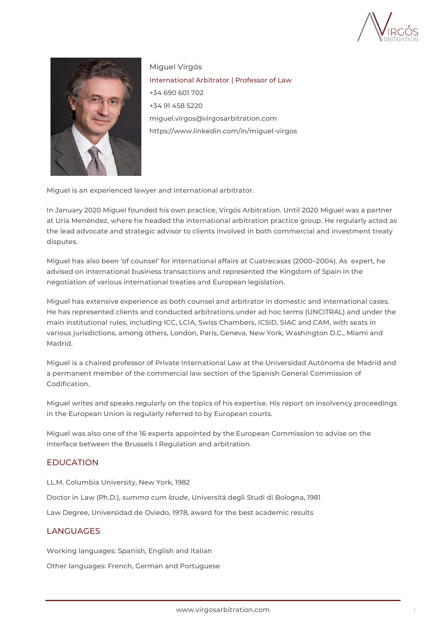



Miguel Virgós International Arbitrator | Professor of Law +34 690 601 702 +34 91 458 5220 miguel.virgos@virgosarbitration.com [https://www.linkedin.com/in/miguel-virgos](https://www.linkedin.com/in/miguel-virgos-98080629/)

Miguel is an experienced lawyer and international arbitrator.

In January 2020 Miguel founded his own practice, Virgós Arbitration. Until 2020 Miguel was a partner at Uría Menéndez, where he headed the international arbitration practice group. He regularly acted as the lead advocate and strategic advisor to clients involved in both commercial and investment treaty disputes.

Miguel has also been 'of counsel' for international affairs at Cuatrecasas (2000–2004). As expert, he advised on international business transactions and represented the Kingdom of Spain in the negotiation of various international treaties and European legislation.

Miguel has extensive experience as both counsel and arbitrator in domestic and international cases. He has represented clients and conducted arbitrations under ad hoc terms (UNCITRAL) and under the main institutional rules, including ICC, LCIA, Swiss Chambers, ICSID, SIAC and CAM, with seats in various jurisdictions, among others, London, Paris, Geneva, New York, Washington D.C., Miami and Madrid.

Miguel is a chaired professor of Private International Law at the Universidad Autónoma de Madrid and a permanent member of the commercial law section of the Spanish General Commission of Codification.

Miguel writes and speaks regularly on the topics of his expertise. His report on insolvency proceedings in the European Union is regularly referred to by European courts.

Miguel was also one of the 16 experts appointed by the European Commission to advise on the interface between the Brussels I Regulation and arbitration.

## EDUCATION

LL.M. Columbia University, New York, 1982

Doctor in Law (Ph.D.), *summa cum laude*, Universitá degli Studi di Bologna, 1981

Law Degree, Universidad de Oviedo, 1978, award for the best academic results

### LANGUAGES

Working languages: Spanish, English and Italian

Other languages: French, German and Portuguese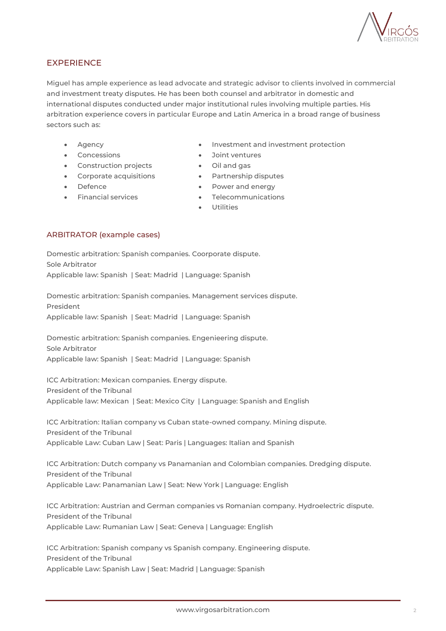

# **EXPERIENCE**

Miguel has ample experience as lead advocate and strategic advisor to clients involved in commercial and investment treaty disputes. He has been both counsel and arbitrator in domestic and international disputes conducted under major institutional rules involving multiple parties. His arbitration experience covers in particular Europe and Latin America in a broad range of business sectors such as:

- **Agency**
- Concessions
	- Construction projects
		-
	- Corporate acquisitions
- Defence
- Financial services
- Investment and investment protection
- Joint ventures
- Oil and gas
- Partnership disputes
- Power and energy
- Telecommunications
- **Utilities**

### ARBITRATOR (example cases)

Domestic arbitration: Spanish companies. Coorporate dispute. Sole Arbitrator Applicable law: Spanish | Seat: Madrid | Language: Spanish

Domestic arbitration: Spanish companies. Management services dispute. President Applicable law: Spanish | Seat: Madrid | Language: Spanish

Domestic arbitration: Spanish companies. Engenieering dispute. Sole Arbitrator Applicable law: Spanish | Seat: Madrid | Language: Spanish

ICC Arbitration: Mexican companies. Energy dispute. President of the Tribunal Applicable law: Mexican | Seat: Mexico City | Language: Spanish and English

ICC Arbitration: Italian company vs Cuban state-owned company. Mining dispute. President of the Tribunal Applicable Law: Cuban Law | Seat: Paris | Languages: Italian and Spanish

ICC Arbitration: Dutch company vs Panamanian and Colombian companies. Dredging dispute. President of the Tribunal Applicable Law: Panamanian Law | Seat: New York | Language: English

ICC Arbitration: Austrian and German companies vs Romanian company. Hydroelectric dispute. President of the Tribunal Applicable Law: Rumanian Law | Seat: Geneva | Language: English

ICC Arbitration: Spanish company vs Spanish company. Engineering dispute. President of the Tribunal Applicable Law: Spanish Law | Seat: Madrid | Language: Spanish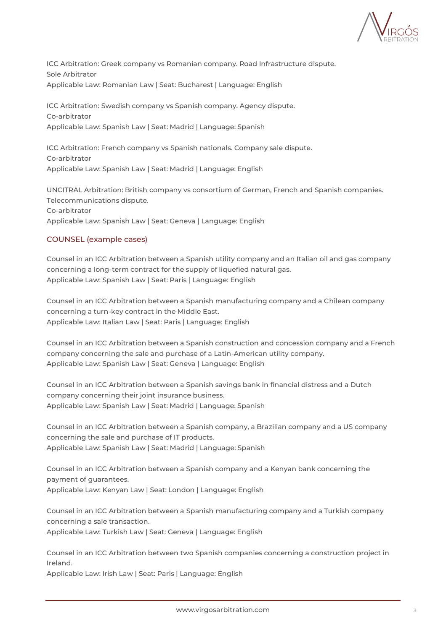

ICC Arbitration: Greek company vs Romanian company. Road Infrastructure dispute. Sole Arbitrator Applicable Law: Romanian Law | Seat: Bucharest | Language: English

ICC Arbitration: Swedish company vs Spanish company. Agency dispute. Co-arbitrator Applicable Law: Spanish Law | Seat: Madrid | Language: Spanish

ICC Arbitration: French company vs Spanish nationals. Company sale dispute. Co-arbitrator Applicable Law: Spanish Law | Seat: Madrid | Language: English

UNCITRAL Arbitration: British company vs consortium of German, French and Spanish companies. Telecommunications dispute. Co-arbitrator Applicable Law: Spanish Law | Seat: Geneva | Language: English

### COUNSEL (example cases)

Counsel in an ICC Arbitration between a Spanish utility company and an Italian oil and gas company concerning a long-term contract for the supply of liquefied natural gas. Applicable Law: Spanish Law | Seat: Paris | Language: English

Counsel in an ICC Arbitration between a Spanish manufacturing company and a Chilean company concerning a turn-key contract in the Middle East. Applicable Law: Italian Law | Seat: Paris | Language: English

Counsel in an ICC Arbitration between a Spanish construction and concession company and a French company concerning the sale and purchase of a Latin-American utility company. Applicable Law: Spanish Law | Seat: Geneva | Language: English

Counsel in an ICC Arbitration between a Spanish savings bank in financial distress and a Dutch company concerning their joint insurance business. Applicable Law: Spanish Law | Seat: Madrid | Language: Spanish

Counsel in an ICC Arbitration between a Spanish company, a Brazilian company and a US company concerning the sale and purchase of IT products. Applicable Law: Spanish Law | Seat: Madrid | Language: Spanish

Counsel in an ICC Arbitration between a Spanish company and a Kenyan bank concerning the payment of guarantees. Applicable Law: Kenyan Law | Seat: London | Language: English

Counsel in an ICC Arbitration between a Spanish manufacturing company and a Turkish company concerning a sale transaction. Applicable Law: Turkish Law | Seat: Geneva | Language: English

Counsel in an ICC Arbitration between two Spanish companies concerning a construction project in Ireland.

Applicable Law: Irish Law | Seat: Paris | Language: English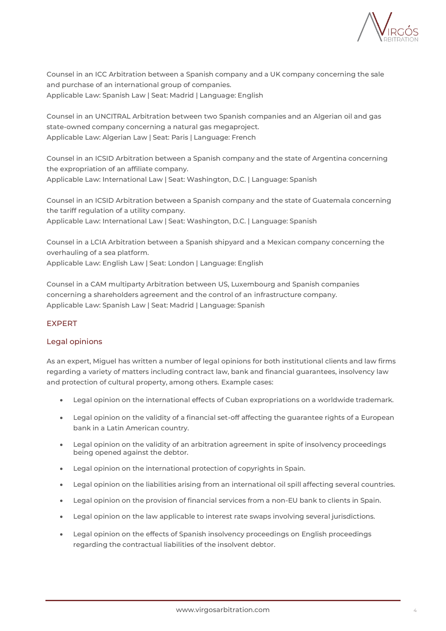

Counsel in an ICC Arbitration between a Spanish company and a UK company concerning the sale and purchase of an international group of companies. Applicable Law: Spanish Law | Seat: Madrid | Language: English

Counsel in an UNCITRAL Arbitration between two Spanish companies and an Algerian oil and gas state-owned company concerning a natural gas megaproject. Applicable Law: Algerian Law | Seat: Paris | Language: French

Counsel in an ICSID Arbitration between a Spanish company and the state of Argentina concerning the expropriation of an affiliate company. Applicable Law: International Law | Seat: Washington, D.C. | Language: Spanish

Counsel in an ICSID Arbitration between a Spanish company and the state of Guatemala concerning the tariff regulation of a utility company. Applicable Law: International Law | Seat: Washington, D.C. | Language: Spanish

Counsel in a LCIA Arbitration between a Spanish shipyard and a Mexican company concerning the overhauling of a sea platform. Applicable Law: English Law | Seat: London | Language: English

Counsel in a CAM multiparty Arbitration between US, Luxembourg and Spanish companies concerning a shareholders agreement and the control of an infrastructure company. Applicable Law: Spanish Law | Seat: Madrid | Language: Spanish

## EXPERT

## Legal opinions

As an expert, Miguel has written a number of legal opinions for both institutional clients and law firms regarding a variety of matters including contract law, bank and financial guarantees, insolvency law and protection of cultural property, among others. Example cases:

- Legal opinion on the international effects of Cuban expropriations on a worldwide trademark.
- Legal opinion on the validity of a financial set-off affecting the guarantee rights of a European bank in a Latin American country.
- Legal opinion on the validity of an arbitration agreement in spite of insolvency proceedings being opened against the debtor.
- Legal opinion on the international protection of copyrights in Spain.
- Legal opinion on the liabilities arising from an international oil spill affecting several countries.
- Legal opinion on the provision of financial services from a non-EU bank to clients in Spain.
- Legal opinion on the law applicable to interest rate swaps involving several jurisdictions.
- Legal opinion on the effects of Spanish insolvency proceedings on English proceedings regarding the contractual liabilities of the insolvent debtor.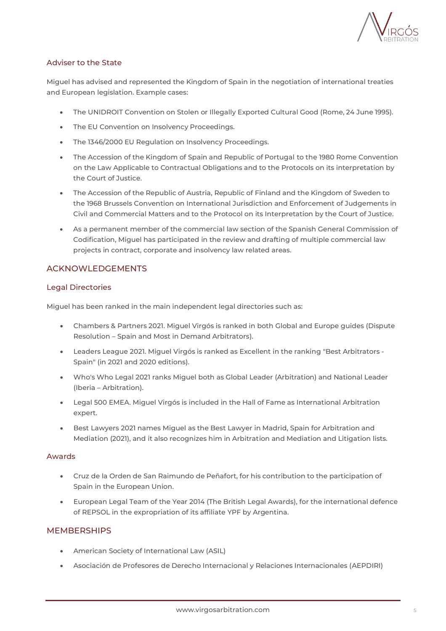

### Adviser to the State

Miguel has advised and represented the Kingdom of Spain in the negotiation of international treaties and European legislation. Example cases:

- The UNIDROIT Convention on Stolen or Illegally Exported Cultural Good (Rome, 24 June 1995).
- The EU Convention on Insolvency Proceedings.
- The 1346/2000 EU Regulation on Insolvency Proceedings.
- The Accession of the Kingdom of Spain and Republic of Portugal to the 1980 Rome Convention on the Law Applicable to Contractual Obligations and to the Protocols on its interpretation by the Court of Justice.
- The Accession of the Republic of Austria, Republic of Finland and the Kingdom of Sweden to the 1968 Brussels Convention on International Jurisdiction and Enforcement of Judgements in Civil and Commercial Matters and to the Protocol on its Interpretation by the Court of Justice.
- As a permanent member of the commercial law section of the Spanish General Commission of Codification, Miguel has participated in the review and drafting of multiple commercial law projects in contract, corporate and insolvency law related areas.

## ACKNOWLEDGEMENTS

### Legal Directories

Miguel has been ranked in the main independent legal directories such as:

- [Chambers & Partners 2021.](https://chambers.com/lawyer/miguel-virgos-global-2:342065) Miguel Virgós is ranked in both Global and Europe guides (Dispute Resolution – Spain and Most in Demand Arbitrators).
- [Leaders League 2021.](https://www.leadersleague.com/en/news/spain-s-best-arbitrators-2020) Miguel Virgós is ranked as Excellent in the ranking "Best Arbitrators Spain" (in 2021 and 2020 editions).
- [Who's Who Legal 2021](https://whoswholegal.com/miguel-virgos) ranks Miguel both as Global Leader (Arbitration) and National Leader (Iberia – Arbitration).
- [Legal 500 EMEA.](https://www.legal500.com/firms/10579-uria-menendez/10642-madrid-spain/lawyers/734953-miguel-virgos/) Miguel Virgós is included in the Hall of Fame as International Arbitration expert.
- [Best Lawyers 2021](https://www.bestlawyers.com/current-edition/Spain) names Miguel as the Best Lawyer in Madrid, Spain for Arbitration and Mediation (2021), and it also recognizes him in Arbitration and Mediation and Litigation lists.

### Awards

- Cruz de la Orden de San Raimundo de Peñafort, for his contribution to the participation of Spain in the European Union.
- European Legal Team of the Year 2014 (The British Legal Awards), for the international defence of REPSOL in the expropriation of its affiliate YPF by Argentina.

## **MEMBERSHIPS**

- American Society of International Law [\(ASIL\)](https://www.asil.org/)
- Asociación de Profesores de Derecho Internacional y Relaciones Internacionales ([AEPDIRI\)](http://www.aepdiri.org/)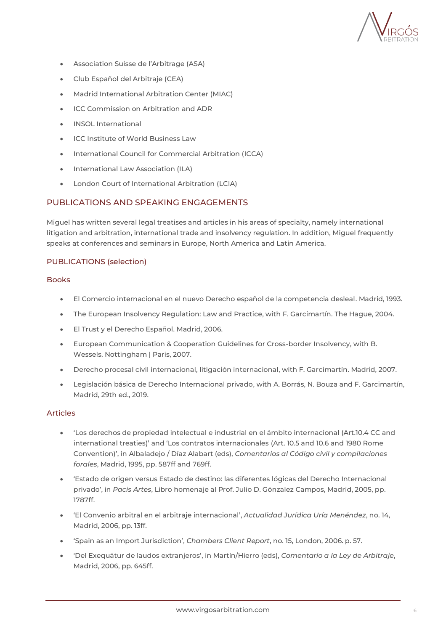

- Association Suisse de l'Arbitrage ([ASA\)](https://www.arbitration-ch.org/en/home/index.html)
- Club Español del Arbitraje ([CEA\)](https://www.clubarbitraje.com/)
- Madrid International Arbitration Center [\(MIAC\)](https://madridarb.com/en/)
- ICC [Commission](https://iccwbo.org/dispute-resolution-services/commission-on-arbitration-and-adr/) on Arbitration and ADR
- INSOL [International](https://www.insol.org/)
- ICC Institute of World [Business](https://iccwbo.org/dispute-resolution-services/professional-development/institute-world-business-law/) Law
- International Council for Commercial Arbitration [\(ICCA\)](https://www.arbitration-icca.org/)
- International Law Association [\(ILA\)](https://www.ila-hq.org/)
- London Court of International Arbitration [\(LCIA\)](https://www.lcia.org/)

### PUBLICATIONS AND SPEAKING ENGAGEMENTS

Miguel has written several legal treatises and articles in his areas of specialty, namely international litigation and arbitration, international trade and insolvency regulation. In addition, Miguel frequently speaks at conferences and seminars in Europe, North America and Latin America.

#### PUBLICATIONS (selection)

#### Books

- El Comercio internacional en el nuevo Derecho español de la competencia desleal. Madrid, 1993.
- The European Insolvency Regulation: Law and Practice, with F. Garcimartín. The Hague, 2004.
- El Trust y el Derecho Español. Madrid, 2006.
- European Communication & Cooperation Guidelines for Cross-border Insolvency, with B. Wessels. Nottingham | Paris, 2007.
- Derecho procesal civil internacional, litigación internacional, with F. Garcimartín. Madrid, 2007.
- Legislación básica de Derecho Internacional privado, with A. Borrás, N. Bouza and F. Garcimartín, Madrid, 29th ed., 2019.

#### Articles

- 'Los derechos de propiedad intelectual e industrial en el ámbito internacional (Art.10.4 CC and international treaties)' and 'Los contratos internacionales (Art. 10.5 and 10.6 and 1980 Rome Convention)', in Albaladejo / Díaz Alabart (eds), *Comentarios al Código civil y compilaciones forales*, Madrid, 1995, pp. 587ff and 769ff.
- 'Estado de origen versus Estado de destino: las diferentes lógicas del Derecho Internacional privado', in *Pacis Artes*, Libro homenaje al Prof. Julio D. Gónzalez Campos, Madrid, 2005, pp. 1787ff.
- 'El Convenio arbitral en el arbitraje internacional', *Actualidad Jurídica Uría Menéndez*, no. 14, Madrid, 2006, pp. 13ff.
- 'Spain as an Import Jurisdiction', *Chambers Client Report*, no. 15, London, 2006. p. 57.
- 'Del Exequátur de laudos extranjeros', in Martín/Hierro (eds), *Comentario a la Ley de Arbitraje*, Madrid, 2006, pp. 645ff.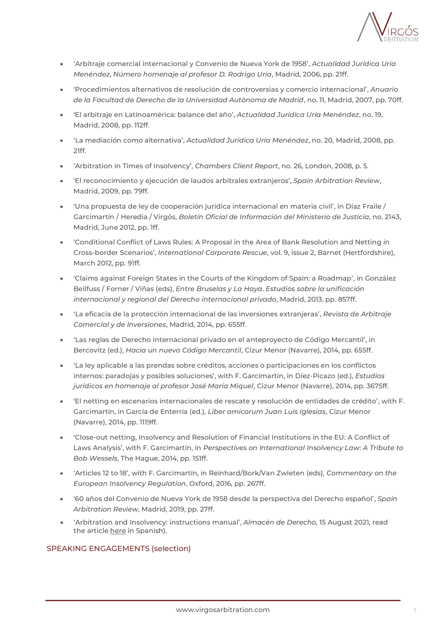

- 'Arbitraje comercial internacional y Convenio de Nueva York de 1958', *Actualidad Jurídica Uría Menéndez*, *Número homenaje al profesor D. Rodrigo Uría*, Madrid, 2006, pp. 21ff.
- 'Procedimientos alternativos de resolución de controversias y comercio internacional', *Anuario de la Facultad de Derecho de la Universidad Autónoma de Madrid*, no. 11, Madrid, 2007, pp. 70ff.
- 'El arbitraje en Latinoamérica: balance del año', *Actualidad Jurídica Uría Menéndez*, no. 19, Madrid, 2008, pp. 112ff.
- 'La mediación como alternativa', *Actualidad Jurídica Uría Menéndez*, no. 20, Madrid, 2008, pp. 21ff.
- 'Arbitration in Times of Insolvency', *Chambers Client Report*, no. 26, London, 2008, p. 5.
- 'El reconocimiento y ejecución de laudos arbitrales extranjeros', *Spain Arbitration Review*, Madrid, 2009, pp. 79ff.
- 'Una propuesta de ley de cooperación jurídica internacional en materia civil', in Díaz Fraile / Garcimartín / Heredia / Virgós, *Boletín Oficial de Información del Ministerio de Justicia*, no. 2143, Madrid, June 2012, pp. 1ff.
- 'Conditional Conflict of Laws Rules: A Proposal in the Area of Bank Resolution and Netting in Cross-border Scenarios', *International Corporate Rescue*, vol. 9, issue 2, Barnet (Hertfordshire), March 2012, pp. 91ff.
- 'Claims against Foreign States in the Courts of the Kingdom of Spain: a Roadmap', in González Beilfuss / Forner / Viñas (eds), *Entre Bruselas y La Haya*. *Estudios sobre la unificación internacional y regional del Derecho internacional privado*, Madrid, 2013, pp. 857ff.
- 'La eficacia de la protección internacional de las inversiones extranjeras', *Revista de Arbitraje Comercial y de Inversiones*, Madrid, 2014, pp. 655ff.
- 'Las reglas de Derecho internacional privado en el anteproyecto de Código Mercantil', in Bercovitz (ed.), *Hacia un nuevo Código Mercantil*, Cizur Menor (Navarre), 2014, pp. 655ff.
- 'La ley aplicable a las prendas sobre créditos, acciones o participaciones en los conflictos internos: paradojas y posibles soluciones', with F. Garcimartín, in Díez-Picazo (ed.), *Estudios jurídicos en homenaje al profesor José María Miquel*, Cizur Menor (Navarre), 2014, pp. 3675ff.
- 'El netting en escenarios internacionales de rescate y resolución de entidades de crédito', with F. Garcimartín, in García de Enterría (ed.), *Liber amicorum Juan Luis Iglesias*, Cizur Menor (Navarre), 2014, pp. 1119ff.
- 'Close-out netting, Insolvency and Resolution of Financial Institutions in the EU: A Conflict of Laws Analysis', with F. Garcimartín, in *Perspectives on International Insolvency Law*: *A Tribute to Bob Wessels*, The Hague, 2014, pp. 151ff.
- 'Articles 12 to 18', with F. Garcimartín, in Reinhard/Bork/Van Zwieten (eds), *Commentary on the European Insolvency Regulation*, Oxford, 2016, pp. 267ff.
- '60 años del Convenio de Nueva York de 1958 desde la perspectiva del Derecho español', *Spain Arbitration Review*, Madrid, 2019, pp. 27ff.
- 'Arbitration and Insolvency: instructions manual', *Almacén de Derecho*, 15 August 2021, read the article [here](https://almacendederecho.org/arbitraje-e-insolvencia-manual-de-instrucciones-y-iv) in Spanish).

### SPEAKING ENGAGEMENTS (selection)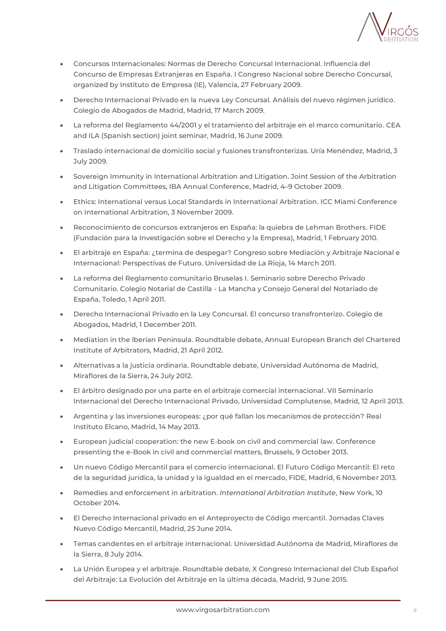

- Concursos Internacionales: Normas de Derecho Concursal Internacional. Influencia del Concurso de Empresas Extranjeras en España. I Congreso Nacional sobre Derecho Concursal, organized by Instituto de Empresa (IE), Valencia, 27 February 2009.
- Derecho Internacional Privado en la nueva Ley Concursal. Análisis del nuevo régimen jurídico. Colegio de Abogados de Madrid, Madrid, 17 March 2009.
- La reforma del Reglamento 44/2001 y el tratamiento del arbitraje en el marco comunitario. CEA and ILA (Spanish section) joint seminar, Madrid, 16 June 2009.
- Traslado internacional de domicilio social y fusiones transfronterizas. Uría Menéndez, Madrid, 3 July 2009.
- Sovereign Immunity in International Arbitration and Litigation. Joint Session of the Arbitration and Litigation Committees, IBA Annual Conference, Madrid, 4–9 October 2009.
- Ethics: International versus Local Standards in International Arbitration. ICC Miami Conference on International Arbitration, 3 November 2009.
- Reconocimiento de concursos extranjeros en España: la quiebra de Lehman Brothers. FIDE (Fundación para la Investigación sobre el Derecho y la Empresa), Madrid, 1 February 2010.
- El arbitraje en España: ¿termina de despegar? Congreso sobre Mediación y Arbitraje Nacional e Internacional: Perspectivas de Futuro. Universidad de La Rioja, 14 March 2011.
- La reforma del Reglamento comunitario Bruselas I. Seminario sobre Derecho Privado Comunitario. Colegio Notarial de Castilla - La Mancha y Consejo General del Notariado de España, Toledo, 1 April 2011.
- Derecho Internacional Privado en la Ley Concursal. El concurso transfronterizo. Colegio de Abogados, Madrid, 1 December 2011.
- Mediation in the Iberian Peninsula. Roundtable debate, Annual European Branch del Chartered Institute of Arbitrators, Madrid, 21 April 2012.
- Alternativas a la justicia ordinaria. Roundtable debate, Universidad Autónoma de Madrid, Miraflores de la Sierra, 24 July 2012.
- El árbitro designado por una parte en el arbitraje comercial internacional. VII Seminario Internacional del Derecho Internacional Privado, Universidad Complutense, Madrid, 12 April 2013.
- Argentina y las inversiones europeas: ¿por qué fallan los mecanismos de protección? Real Instituto Elcano, Madrid, 14 May 2013.
- European judicial cooperation: the new E-book on civil and commercial law. Conference presenting the e-Book in civil and commercial matters, Brussels, 9 October 2013.
- Un nuevo Código Mercantil para el comercio internacional. El Futuro Código Mercantil: El reto de la seguridad jurídica, la unidad y la igualdad en el mercado, FIDE, Madrid, 6 November 2013.
- Remedies and enforcement in arbitration. *International Arbitration Institute*, New York, 10 October 2014.
- El Derecho Internacional privado en el Anteproyecto de Código mercantil. Jornadas Claves Nuevo Código Mercantil, Madrid, 25 June 2014.
- Temas candentes en el arbitraje internacional. Universidad Autónoma de Madrid, Miraflores de la Sierra, 8 July 2014.
- La Unión Europea y el arbitraje. Roundtable debate, X Congreso Internacional del Club Español del Arbitraje: La Evolución del Arbitraje en la última década, Madrid, 9 June 2015.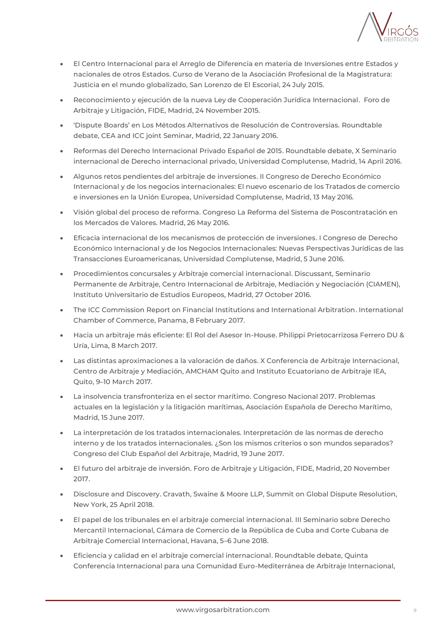

- El Centro Internacional para el Arreglo de Diferencia en materia de Inversiones entre Estados y nacionales de otros Estados. Curso de Verano de la Asociación Profesional de la Magistratura: Justicia en el mundo globalizado, San Lorenzo de El Escorial, 24 July 2015.
- Reconocimiento y ejecución de la nueva Ley de Cooperación Jurídica Internacional. Foro de Arbitraje y Litigación, FIDE, Madrid, 24 November 2015.
- 'Dispute Boards' en Los Métodos Alternativos de Resolución de Controversias. Roundtable debate, CEA and ICC joint Seminar, Madrid, 22 January 2016.
- Reformas del Derecho Internacional Privado Español de 2015. Roundtable debate, X Seminario internacional de Derecho internacional privado, Universidad Complutense, Madrid, 14 April 2016.
- Algunos retos pendientes del arbitraje de inversiones. II Congreso de Derecho Económico Internacional y de los negocios internacionales: El nuevo escenario de los Tratados de comercio e inversiones en la Unión Europea, Universidad Complutense, Madrid, 13 May 2016.
- Visión global del proceso de reforma. Congreso La Reforma del Sistema de Poscontratación en los Mercados de Valores. Madrid, 26 May 2016.
- Eficacia internacional de los mecanismos de protección de inversiones. I Congreso de Derecho Económico Internacional y de los Negocios Internacionales: Nuevas Perspectivas Jurídicas de las Transacciones Euroamericanas, Universidad Complutense, Madrid, 5 June 2016.
- Procedimientos concursales y Arbitraje comercial internacional. Discussant, Seminario Permanente de Arbitraje, Centro Internacional de Arbitraje, Mediación y Negociación (CIAMEN), Instituto Universitario de Estudios Europeos, Madrid, 27 October 2016.
- The ICC Commission Report on Financial Institutions and International Arbitration. International Chamber of Commerce, Panama, 8 February 2017.
- Hacia un arbitraje más eficiente: El Rol del Asesor In-House. Philippi Prietocarrizosa Ferrero DU & Uría, Lima, 8 March 2017.
- Las distintas aproximaciones a la valoración de daños. X Conferencia de Arbitraje Internacional, Centro de Arbitraje y Mediación, AMCHAM Quito and Instituto Ecuatoriano de Arbitraje IEA, Quito, 9–10 March 2017.
- La insolvencia transfronteriza en el sector marítimo. Congreso Nacional 2017. Problemas actuales en la legislación y la litigación marítimas, Asociación Española de Derecho Marítimo, Madrid, 15 June 2017.
- La interpretación de los tratados internacionales. Interpretación de las normas de derecho interno y de los tratados internacionales. ¿Son los mismos criterios o son mundos separados? Congreso del Club Español del Arbitraje, Madrid, 19 June 2017.
- El futuro del arbitraje de inversión. Foro de Arbitraje y Litigación, FIDE, Madrid, 20 November 2017.
- Disclosure and Discovery. Cravath, Swaine & Moore LLP, Summit on Global Dispute Resolution, New York, 25 April 2018.
- El papel de los tribunales en el arbitraje comercial internacional. III Seminario sobre Derecho Mercantil Internacional, Cámara de Comercio de la República de Cuba and Corte Cubana de Arbitraje Comercial Internacional, Havana, 5–6 June 2018.
- Eficiencia y calidad en el arbitraje comercial internacional. Roundtable debate, Quinta Conferencia Internacional para una Comunidad Euro-Mediterránea de Arbitraje Internacional,